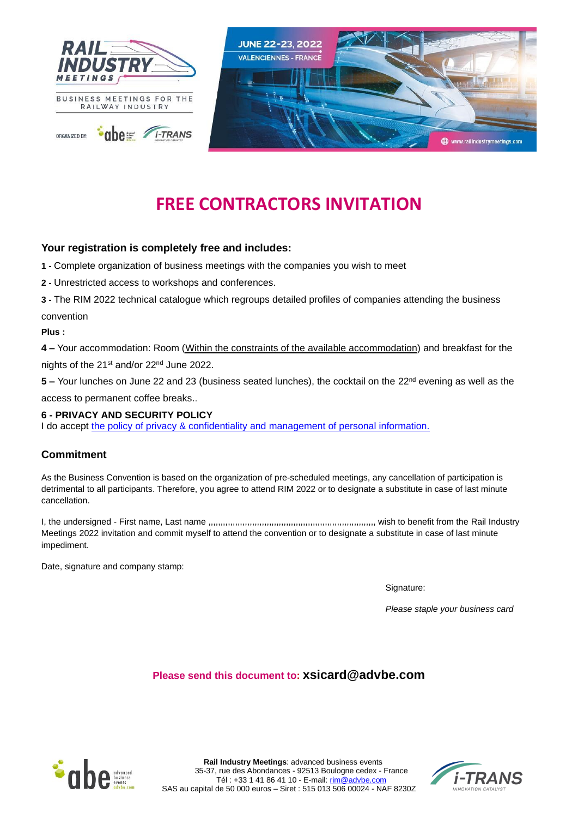

# **FREE CONTRACTORS INVITATION**

# **Your registration is completely free and includes:**

**1 -** Complete organization of business meetings with the companies you wish to meet

**2 -** Unrestricted access to workshops and conferences.

**3 -** The RIM 2022 technical catalogue which regroups detailed profiles of companies attending the business convention

**Plus :** 

**4 –** Your accommodation: Room (Within the constraints of the available accommodation) and breakfast for the nights of the 21st and/or 22nd June 2022.

**5** – Your lunches on June 22 and 23 (business seated lunches), the cocktail on the 22<sup>nd</sup> evening as well as the access to permanent coffee breaks..

## **6 - PRIVACY AND SECURITY POLICY**

I do accept the policy [of privacy & confidentiality and management of personal information.](http://www.advbe.com/en/member-area-private-policy.html)

## **Commitment**

As the Business Convention is based on the organization of pre-scheduled meetings, any cancellation of participation is detrimental to all participants. Therefore, you agree to attend RIM 2022 or to designate a substitute in case of last minute cancellation.

I, the undersigned - First name, Last name ,,,,,,,,,,,,,,,,,,,,,,,,,,,,,,,,,,,,,,,,,,,,,,,,,,,,,,,,,,,,,,,,,,,,, wish to benefit from the Rail Industry Meetings 2022 invitation and commit myself to attend the convention or to designate a substitute in case of last minute impediment.

Date, signature and company stamp:

Signature:

*Please staple your business card*

## **Please send this document to: [xsicard@advbe.com](mailto:xsicard@advbe.com)**



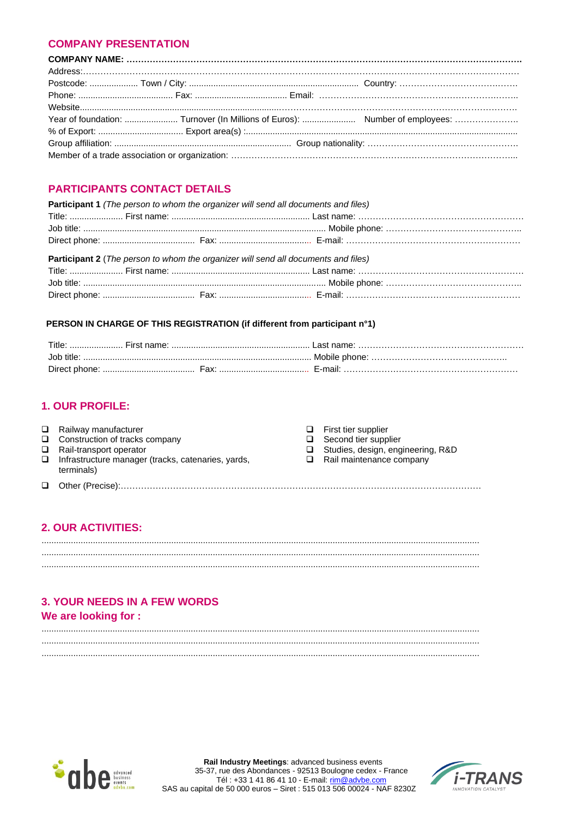## **COMPANY PRESENTATION**

# **PARTICIPANTS CONTACT DETAILS**

| Participant 1 (The person to whom the organizer will send all documents and files) |                                                                                           |  |  |  |  |
|------------------------------------------------------------------------------------|-------------------------------------------------------------------------------------------|--|--|--|--|
|                                                                                    |                                                                                           |  |  |  |  |
|                                                                                    |                                                                                           |  |  |  |  |
|                                                                                    |                                                                                           |  |  |  |  |
|                                                                                    |                                                                                           |  |  |  |  |
|                                                                                    | <b>Participant 2</b> (The person to whom the organizer will send all documents and files) |  |  |  |  |

#### PERSON IN CHARGE OF THIS REGISTRATION (if different from participant n°1)

| Title:<br>First name: |               |
|-----------------------|---------------|
| . Iob title:          | Mobile phone: |
| Direct phone:<br>⊦ах: | F-mail:       |

## **1. OUR PROFILE:**

| $\Box$ Railway manufacturer<br>$\Box$ Construction of tracks company<br>$\Box$ Rail-transport operator<br>$\Box$ Infrastructure manager (tracks, catenaries, yards,<br>terminals) | $\Box$ First tier supplier<br>$\Box$ Second tier supplier<br>Studies, design, engineering, R&D<br>$\Box$ Rail maintenance company |
|-----------------------------------------------------------------------------------------------------------------------------------------------------------------------------------|-----------------------------------------------------------------------------------------------------------------------------------|
|                                                                                                                                                                                   |                                                                                                                                   |

# **2. OUR ACTIVITIES:**

# **3. YOUR NEEDS IN A FEW WORDS**

# We are looking for :



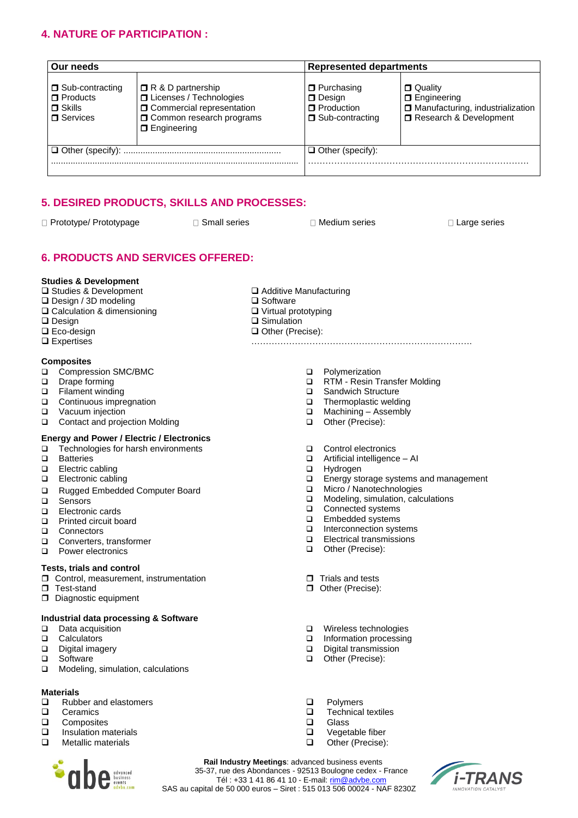# **4. NATURE OF PARTICIPATION :**

| Our needs                                                                |                                                                                                                                                          | <b>Represented departments</b>                                              |                                                                                                      |  |
|--------------------------------------------------------------------------|----------------------------------------------------------------------------------------------------------------------------------------------------------|-----------------------------------------------------------------------------|------------------------------------------------------------------------------------------------------|--|
| □ Sub-contracting<br>$\Box$ Products<br>$\Box$ Skills<br>$\Box$ Services | $\Box$ R & D partnership<br>□ Licenses / Technologies<br><b>O</b> Commercial representation<br><b>O</b> Common research programs<br><b>D</b> Engineering | <b>D</b> Purchasing<br>D Design<br><b>O</b> Production<br>□ Sub-contracting | <b>D</b> Quality<br>$\Box$ Engineering<br>Manufacturing, industrialization<br>Research & Development |  |
|                                                                          |                                                                                                                                                          | $\Box$ Other (specify):                                                     |                                                                                                      |  |
|                                                                          |                                                                                                                                                          |                                                                             |                                                                                                      |  |

# **5. DESIRED PRODUCTS, SKILLS AND PROCESSES:**

 $\Box$  Prototype/ Prototypage  $\Box$  Small series  $\Box$  Medium series  $\Box$  Large series

# **6. PRODUCTS AND SERVICES OFFERED:**

#### **Studies & Development**

- ❑ Studies & Development
- ❑ Design / 3D modeling
- ❑ Calculation & dimensioning
- ❑ Design
- ❑ Eco-design
- ❑ Expertises

#### **Composites**

- ❑ Compression SMC/BMC
- ❑ Drape forming
- ❑ Filament winding
- ❑ Continuous impregnation
- ❑ Vacuum injection
- ❑ Contact and projection Molding

#### **Energy and Power / Electric / Electronics**

- ❑ Technologies for harsh environments
- ❑ Batteries
- ❑ Electric cabling
- ❑ Electronic cabling
- ❑ Rugged Embedded Computer Board
- ❑ Sensors
- ❑ Electronic cards
- ❑ Printed circuit board
- ❑ Connectors
- ❑ Converters, transformer
- ❑ Power electronics

#### **Tests, trials and control**

- **C** Control, measurement, instrumentation
- **Test-stand**
- Diagnostic equipment

#### **Industrial data processing & Software**

- ❑ Data acquisition
- ❑ Calculators
- ❑ Digital imagery
- **Software**
- ❑ Modeling, simulation, calculations

#### **Materials**

- $\Box$  Rubber and elastomers<br> $\Box$  Ceramics
- ❑ Ceramics
- ❑ Composites
- $\square$  Insulation materials<br> $\square$  Metallic materials
- ❑ Metallic materials



- 
- ❑ Additive Manufacturing
- ❑ Software
- ❑ Virtual prototyping
- ❑ Simulation
- ❑ Other (Precise): ………………………………………………………………….
	- ❑ Polymerization
	- ❑ RTM Resin Transfer Molding
	- ❑ Sandwich Structure
	- ❑ Thermoplastic welding
	- ❑ Machining Assembly
	- ❑ Other (Precise):
	- ❑ Control electronics
	- ❑ Artificial intelligence AI
	- ❑ Hydrogen
	- ❑ Energy storage systems and management
	- ❑ Micro / Nanotechnologies
	- ❑ Modeling, simulation, calculations
	- □ Connected systems<br>□ Fmbedded systems
	- Embedded systems
	- ❑ Interconnection systems
	- $\Box$  Electrical transmissions<br> $\Box$  Other (Precise):
	- ❑ Other (Precise):
	- $\Box$  Trials and tests
	- Other (Precise):
	- ❑ Wireless technologies
	- ❑ Information processing
	- □ Digital transmission<br>□ Other (Precise):
	- Other (Precise):
	- ❑ Polymers
	- ❑ Technical textiles
	- ❑ Glass
	- □ Vegetable fiber<br>□ Other (Precise)
	- ❑ Other (Precise):

**Rail Industry Meetings**: advanced business events 35-37, rue des Abondances - 92513 Boulogne cedex - France Tél : +33 1 41 86 41 10 - E-mail[: rim@advbe.com](mailto:rim@advbe.com) SAS au capital de 50 000 euros – Siret : 515 013 506 00024 - NAF 8230Z

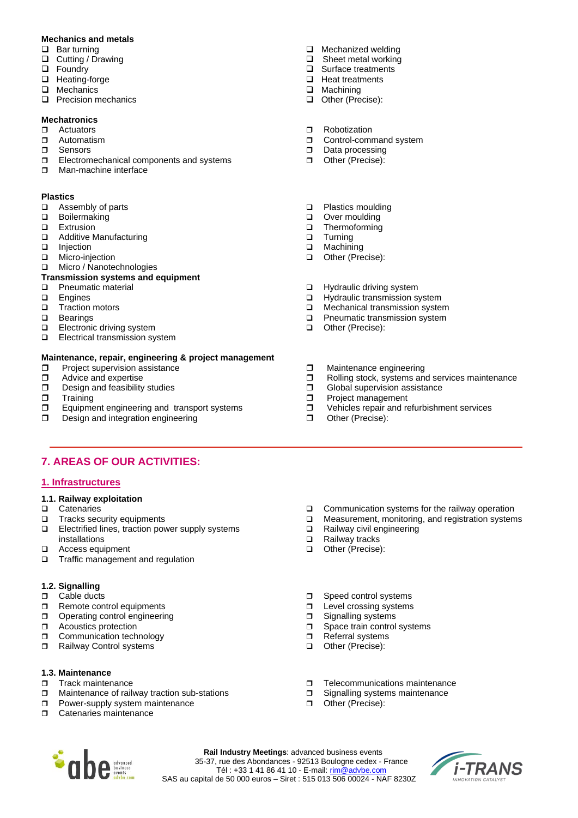#### **Mechanics and metals**

- ❑ Bar turning
- ❑ Cutting / Drawing
- ❑ Foundry
- ❑ Heating-forge
- ❑ Mechanics
- ❑ Precision mechanics

#### **Mechatronics**

- Actuators
- Automatism
- **D** Sensors
- **Electromechanical components and systems**
- **D** Man-machine interface

#### **Plastics**

- ❑ Assembly of parts
- ❑ Boilermaking
- ❑ Extrusion
- ❑ Additive Manufacturing
- ❑ Injection
- ❑ Micro-injection
- ❑ Micro / Nanotechnologies

#### **Transmission systems and equipment**

- ❑ Pneumatic material
- ❑ Engines
- ❑ Traction motors
- ❑ Bearings
- ❑ Electronic driving system
- ❑ Electrical transmission system

#### **Maintenance, repair, engineering & project management**

- $\Box$  Project supervision assistance  $\Box$  Advice and expertise
- $\Box$  Advice and expertise<br> $\Box$  Design and feasibility
- $\Box$  Design and feasibility studies  $\Box$  Training
- **Training**
- $\Box$  Equipment engineering and transport systems
- Design and integration engineering

# **7. AREAS OF OUR ACTIVITIES:**

#### **1. Infrastructures**

- **1.1. Railway exploitation**
- ❑ Catenaries
- ❑ Tracks security equipments
- ❑ Electrified lines, traction power supply systems installations
- ❑ Access equipment
- ❑ Traffic management and regulation

## **1.2. Signalling**

- D Cable ducts
- Remote control equipments
- Operating control engineering
- **D** Acoustics protection
- **Communication technology**
- Railway Control systems

## **1.3. Maintenance**

- **Track maintenance**
- $\Box$  Maintenance of railway traction sub-stations
- **Power-supply system maintenance**
- **D** Catenaries maintenance
- ❑ Mechanized welding
- ❑ Sheet metal working
- ❑ Surface treatments
- ❑ Heat treatments
- ❑ Machining
- ❑ Other (Precise):
- **D** Robotization
- **D** Control-command system
- Data processing
- Other (Precise):
- ❑ Plastics moulding
- ❑ Over moulding
- ❑ Thermoforming
- ❑ Turning
- ❑ Machining
- ❑ Other (Precise):
- ❑ Hydraulic driving system
- ❑ Hydraulic transmission system
- □ Mechanical transmission system<br>□ Pneumatic transmission system
- Pneumatic transmission system
- ❑ Other (Precise):
- **D** Maintenance engineering
- $\square$  Rolling stock, systems and services maintenance  $\square$  Global supervision assistance
- $\Box$  Global supervision assistance<br> $\Box$  Project management
- Project management
- □ Vehicles repair and refurbishment services
- Other (Precise):
- ❑ Communication systems for the railway operation
- ❑ Measurement, monitoring, and registration systems
- ❑ Railway civil engineering
- ❑ Railway tracks
- ❑ Other (Precise):
- □ Speed control systems
- **D** Level crossing systems
- □ Signalling systems
- □ Space train control systems
- □ Referral systems
- ❑ Other (Precise):
- **T** Telecommunications maintenance
- □ Signalling systems maintenance
- Other (Precise):